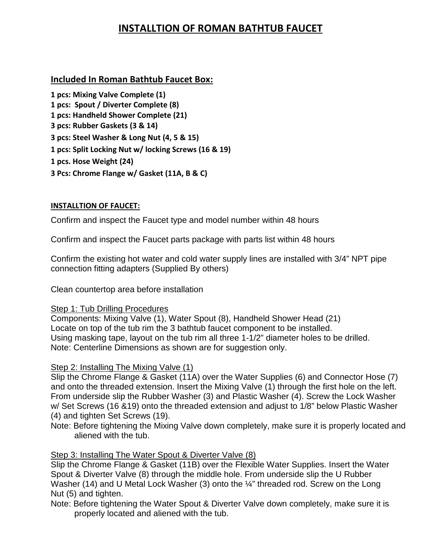# **INSTALLTION OF ROMAN BATHTUB FAUCET**

## **Included In Roman Bathtub Faucet Box:**

**1 pcs: Mixing Valve Complete (1) 1 pcs: Spout / Diverter Complete (8) 1 pcs: Handheld Shower Complete (21) 3 pcs: Rubber Gaskets (3 & 14) 3 pcs: Steel Washer & Long Nut (4, 5 & 15) 1 pcs: Split Locking Nut w/ locking Screws (16 & 19) 1 pcs. Hose Weight (24) 3 Pcs: Chrome Flange w/ Gasket (11A, B & C)**

### **INSTALLTION OF FAUCET:**

Confirm and inspect the Faucet type and model number within 48 hours

Confirm and inspect the Faucet parts package with parts list within 48 hours

Confirm the existing hot water and cold water supply lines are installed with 3/4" NPT pipe connection fitting adapters (Supplied By others)

Clean countertop area before installation

#### Step 1: Tub Drilling Procedures

Components: Mixing Valve (1), Water Spout (8), Handheld Shower Head (21) Locate on top of the tub rim the 3 bathtub faucet component to be installed. Using masking tape, layout on the tub rim all three 1-1/2" diameter holes to be drilled. Note: Centerline Dimensions as shown are for suggestion only.

#### Step 2: Installing The Mixing Valve (1)

Slip the Chrome Flange & Gasket (11A) over the Water Supplies (6) and Connector Hose (7) and onto the threaded extension. Insert the Mixing Valve (1) through the first hole on the left. From underside slip the Rubber Washer (3) and Plastic Washer (4). Screw the Lock Washer w/ Set Screws (16 &19) onto the threaded extension and adjust to 1/8" below Plastic Washer (4) and tighten Set Screws (19).

Note: Before tightening the Mixing Valve down completely, make sure it is properly located and aliened with the tub.

## Step 3: Installing The Water Spout & Diverter Valve (8)

Slip the Chrome Flange & Gasket (11B) over the Flexible Water Supplies. Insert the Water Spout & Diverter Valve (8) through the middle hole. From underside slip the U Rubber Washer (14) and U Metal Lock Washer (3) onto the ¼" threaded rod. Screw on the Long Nut (5) and tighten.

Note: Before tightening the Water Spout & Diverter Valve down completely, make sure it is properly located and aliened with the tub.